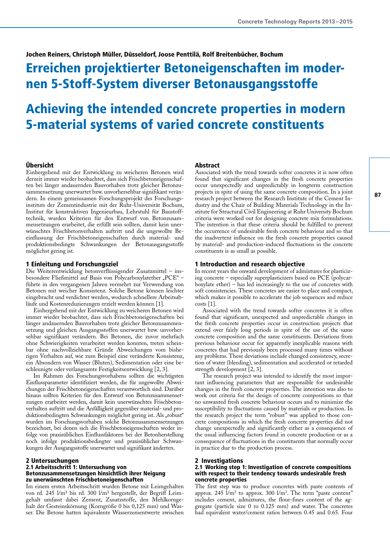# Jochen Reiners, Christoph Müller, Düsseldorf, Joose Penttilä, Rolf Breitenbücher, Bochum

# Erreichen projektierter Betoneigenschaften im modernen 5-Stoff-System diverser Betonausgangsstoffe

# Achieving the intended concrete properties in modern 5-material systems of varied concrete constituents

### Übersicht

Einhergehend mit der Entwicklung zu weicheren Betonen wird derzeit immer wieder beobachtet, dass sich Frischbetoneigenschaften bei länger andauernden Bauvorhaben trotz gleicher Betonzusammensetzung unerwartet bzw. unvorhersehbar signifikant verändern. In einem gemeinsamen Forschungsprojekt des Forschungsinstituts der Zementindustrie mit der Ruhr-Universität Bochum, Institut für konstruktiven Ingenieurbau, Lehrstuhl für Baustofftechnik, wurden Kriterien für den Entwurf von Betonzusammensetzungen erarbeitet, die erfüllt sein sollten, damit kein unerwünschtes Frischbetonverhalten auftritt und die ungewollte Beeinflussung der Frischbetoneigenschaften durch material- und produktionsbedingte Schwankungen der Betonausgangsstoffe möglichst gering ist.

## 1 Einleitung und Forschungsziel

Die Weiterentwicklung betonverflüssigender Zusatzmittel – insbesondere Fließmittel auf Basis von Polycarboxylatether "PCE" – führte in den vergangenen Jahren vermehrt zur Verwendung von Betonen mit weicher Konsistenz. Solche Betone können leichter eingebracht und verdichtet werden, wodurch schnellere Arbeitsabläufe und Kostenreduzierungen erzielt werden können [1].

Einhergehend mit der Entwicklung zu weicheren Betonen wird immer wieder beobachtet, dass sich Frischbetoneigenschaften bei länger andauernden Bauvorhaben trotz gleicher Betonzusammensetzung und gleichen Ausgangsstoffen unerwartet bzw. unvorhersehbar signifikant verändern. Bei Betonen, die zuvor mehrfach ohne Schwierigkeiten verarbeitet werden konnten, treten scheinbar ohne nachvollziehbare Gründe Abweichungen vom bisherigen Verhalten auf, wie zum Beispiel eine veränderte Konsistenz, ein Absondern von Wasser (Bluten), Sedimentation oder eine beschleunigte oder verlangsamte Festigkeitsentwicklung [2, 3].

Im Rahmen des Forschungsvorhabens sollten die wichtigsten Einflussparameter identifiziert werden, die für ungewollte Abweichungen der Frischbetoneigenschaften verantwortlich sind. Darüber hinaus sollten Kriterien für den Entwurf von Betonzusammensetzungen erarbeitet werden, damit kein unerwünschtes Frischbetonverhalten auftritt und die Anfälligkeit gegenüber material- und produktionsbedingten Schwankungen möglichst gering ist. Als "robust" wurden im Forschungsvorhaben solche Betonzusammensetzungen bezeichnet, bei denen sich die Frischbetoneigenschaften weder infolge von praxisüblichen Einflussfaktoren bei der Betonherstellung noch infolge produktionsbedingter und praxisüblicher Schwankungen der Ausgangsstoffe unerwartet und signifikant änderten.

## 2 Untersuchungen

#### 2.1 Arbeitsschritt 1: Untersuchung von Betonzusammensetzungen hinsichtlich ihrer Neigung zu unerwünschten Frischbetoneigenschaften

Im einem ersten Arbeitsschritt wurden Betone mit Leimgehalten von rd. 245 l/m<sup>3</sup> bis rd. 300 l/m<sup>3</sup> hergestellt, der Begriff Leimgehalt umfasst dabei Zement, Zusatzstoffe, den Mehlkorngehalt der Gesteinskörnung (Korngröße 0 bis 0,125 mm) und Wasser. Die Betone hatten äquivalente Wasserzementwerte zwischen

# Abstract

Associated with the trend towards softer concretes it is now often found that significant changes in the fresh concrete properties occur unexpectedly and unpredictably in longterm construction projects in spite of using the same concrete composition. In a joint research project between the Research Institute of the Cement Industry and the Chair of Building Materials Technology in the Institute for Structural Civil Engineering at Ruhr University Bochum criteria were worked out for designing concrete mix formulations. The intention is that these criteria should be fulfilled to prevent the occurrence of undesirable fresh concrete behaviour and so that the inadvertent influence on the fresh concrete properties caused by material- and production-induced fluctuations in the concrete constituents is as small as possible.

## 1 Introduction and research objective

In recent years the onward development of admixtures for plasticizing concrete – especially superplasticizers based on PCE (polycarboxylate ether) – has led increasingly to the use of concretes with soft consistencies. These concretes are easier to place and compact, which makes it possible to accelerate the job sequences and reduce costs [1].

Associated with the trend towards softer concretes it is often found that significant, unexpected and unpredictable changes in the fresh concrete properties occur in construction projects that extend over fairly long periods in spite of the use of the same concrete composition and the same constituents. Deviations from previous behaviour occur for apparently inexplicable reasons with concretes that had previously been processed many times without any problems. These deviations include changed consistency, secretion of water (bleeding), sedimentation and accelerated or retarded strength development [2, 3].

The research project was intended to identify the most important influencing parameters that are responsible for undesirable changes in the fresh concrete properties. The intention was also to work out criteria for the design of concrete compositions so that no unwanted fresh concrete behaviour occurs and to minimize the susceptibility to fluctuations caused by materials or production. In the research project the term "robust" was applied to those concrete compositions in which the fresh concrete properties did not change unexpectedly and significantly either as a consequence of the usual influencing factors found in concrete production or as a consequence of fluctuations in the constituents that normally occur in practice due to the production process.

#### 2 Investigations

#### 2.1 Working step 1: Investigation of concrete compositions with respect to their tendency towards undesirable fresh concrete properties

The first step was to produce concretes with paste contents of approx. 245  $\bar{I}/m^3$  to approx. 300  $\bar{I}/m^3$ . The term "paste content" includes cement, admixtures, the flour-fines content of the aggregate (particle size 0 to 0.125 mm) and water. The concretes had equivalent water/cement ratios between 0.45 and 0.65. Four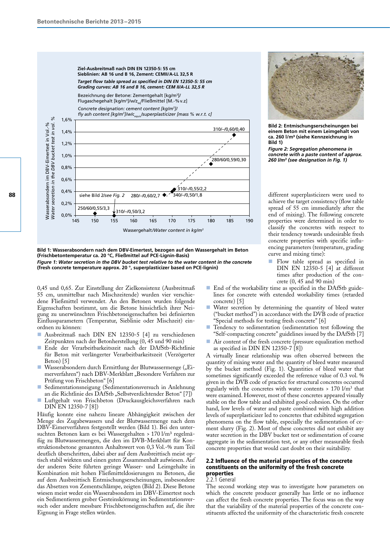



**Bild 2: Entmischungserscheinungen bei einem Beton mit einem Leimgehalt von ca. 260 l/m³ (siehe Kennzeichnung in Bild 1)**

*Figure 2: Segregation phenomena in concrete with a paste content of approx. 260 l/m3 (see designation in Fig. 1)*

different superplasticizers were used to achieve the target consistency (flow table spread of 55 cm immediately after the end of mixing). The following concrete properties were determined in order to classify the concretes with respect to their tendency towards undesirable fresh concrete properties with specific influencing parameters (temperature, grading curve and mixing time):

- **n** Flow table spread as specified in DIN EN 12350-5 [4] at different times after production of the concrete (0, 45 and 90 min)
- End of the workability time as specified in the DAfStb guidelines for concrete with extended workability times (retarded concrete) [5]
- Water secretion by determining the quantity of bleed water ("bucket method") in accordance with the DVB code of practice "Special methods for testing fresh concrete" [6]
- Tendency to sedimentation (sedimentation test following the "Self-compacting concrete" guidelines issued by the DAfStb [7]
- Air content of the fresh concrete (pressure equalization method as specified in DIN EN 12350-7 [8])

A virtually linear relationship was often observed between the quantity of mixing water and the quantity of bleed water measured by the bucket method (Fig. 1). Quantities of bleed water that sometimes significantly exceeded the reference value of 0.3 vol. % given in the DVB code of practice for structural concretes occurred regularly with the concretes with water contents  $> 170$   $\text{Um}^3$  that were examined. However, most of these concretes appeared visually stable on the flow table and exhibited good cohesion. On the other hand, low levels of water and paste combined with high addition levels of superplasticizer led to concretes that exhibited segregation phenomena on the flow table, especially the sedimentation of cement slurry (Fig. 2). Most of these concretes did not exhibit any water secretion in the DBV bucket test or sedimentation of coarse aggregate in the sedimentation test, or any other measurable fresh concrete properties that would cast doubt on their suitability.

# 2.2 Influence of the material properties of the concrete constituents on the uniformity of the fresh concrete properties

#### 2.2.1 General

The second working step was to investigate how parameters on which the concrete producer generally has little or no influence can affect the fresh concrete properties. The focus was on the way that the variability of the material properties of the concrete constituents affected the uniformity of the characteristic fresh concrete

**Bild 1: Wasserabsondern nach dem DBV-Eimertest, bezogen auf den Wassergehalt im Beton (Frischbetontemperatur ca. 20 °C, Fließmittel auf PCE-Lignin-Basis)** *Figure 1: Water secretion in the DBV bucket test relative to the water content in the concrete* **(fresh concrete temperature approx. 20 °, superplasticizer based on PCE-lignin)**

0,45 und 0,65. Zur Einstellung der Zielkonsistenz (Ausbreitmaß 55 cm, unmittelbar nach Mischzeitende) wurden vier verschiedene Fließmittel verwendet. An den Betonen wurden folgende Eigenschaften bestimmt, um die Betone hinsichtlich ihrer Neigung zu unerwünschten Frischbetoneigenschaften bei definierten Einflussparametern (Temperatur, Sieblinie oder Mischzeit) einordnen zu können:

- n Ausbreitmaß nach DIN EN 12350-5 [4] zu verschiedenen Zeitpunkten nach der Betonherstellung (0, 45 und 90 min)
- n Ende der Verarbeitbarkeitszeit nach der DAfStb-Richtlinie für Beton mit verlängerter Verarbeitbarkeitszeit (Verzögerter Beton) [5]
- **Nasserabsondern durch Ermittlung der Blutwassermenge ("Ei**merverfahren") nach DBV-Merkblatt "Besondere Verfahren zur Prüfung von Frischbeton" [6]
- Sedimentationsneigung (Sedimentationsversuch in Anlehnung an die Richtlinie des DAfStb "Selbstverdichtender Beton" [7])
- Luftgehalt von Frischbeton (Druckausgleichsverfahren nach DIN EN 12350-7 [8])

Häufig konnte eine nahezu lineare Abhängigkeit zwischen der Menge des Zugabewassers und der Blutwassermenge nach dem DBV-Eimerverfahren festgestellt werden (Bild 1). Bei den untersuchten Betonen kam es bei Wassergehalten > 170 l/m<sup>3</sup> regelmäßig zu Blutwassermengen, die den im DVB-Merkblatt für Konstruktionsbetone genannten Anhaltswert von 0,3 Vol.-% zum Teil deutlich überschritten, dabei aber auf dem Ausbreittisch meist optisch stabil wirkten und einen guten Zusammenhalt aufwiesen. Auf der anderen Seite führten geringe Wasser- und Leimgehalte in Kombination mit hohen Fließmitteldosierungen zu Betonen, die auf dem Ausbreittisch Entmischungserscheinungen, insbesondere das Absetzen von Zementschlämpe, zeigten (Bild 2). Diese Betone wiesen meist weder ein Wasserabsondern im DBV-Eimertest noch ein Sedimentieren grober Gesteinskörnung im Sedimentationsversuch oder andere messbare Frischbetoneigenschaften auf, die ihre Eignung in Frage stellen würden.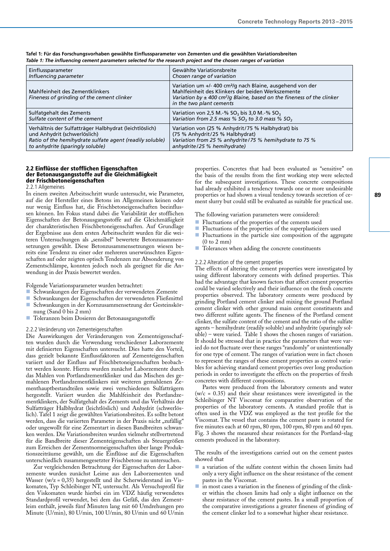| Einflussparameter                                                             | Gewählte Variationsbreite                                                                                                                                                                                                                         |
|-------------------------------------------------------------------------------|---------------------------------------------------------------------------------------------------------------------------------------------------------------------------------------------------------------------------------------------------|
| Influencing parameter                                                         | Chosen range of variation                                                                                                                                                                                                                         |
| Mahlfeinheit des Zementklinkers<br>Fineness of grinding of the cement clinker | Variation um +/- 400 cm <sup>2</sup> /g nach Blaine, ausgehend von der<br>Mahlfeinheit des Klinkers der beiden Werkszemente<br>Variation by $\pm$ 400 cm <sup>2</sup> /g Blaine, based on the fineness of the clinker<br>in the two plant cements |
| Sulfatgehalt des Zements                                                      | Variation von 2,5 M.-% SO <sub>3</sub> bis 3,0 M.-% SO <sub>3</sub>                                                                                                                                                                               |
| Sulfate content of the cement                                                 | Variation from 2.5 mass % $SO_3$ to 3.0 mass % $SO_3$                                                                                                                                                                                             |
| Verhältnis der Sulfatträger Halbhydrat (leichtlöslich)                        | Variation von (25 % Anhydrit/75 % Halbhydrat) bis                                                                                                                                                                                                 |
| und Anhydrit (schwerlöslich)                                                  | (75 % Anhydrit/25 % Halbhydrat)                                                                                                                                                                                                                   |
| Ratio of the hemihydrate sulfate agent (readily soluble)                      | Variation from 25 % anhydrite/75 % hemihydrate to 75 %                                                                                                                                                                                            |
| to anhydrite (sparingly soluble)                                              | anhydrite/25 % hemihydrate)                                                                                                                                                                                                                       |

**Tafel 1: Für das Forschungsvorhaben gewählte Einflussparameter von Zementen und die gewählten Variationsbreiten** *Table 1: The influencing cement parameters selected for the research project and the chosen ranges of variation*

## 2.2 Einflüsse der stofflichen Eigenschaften der Betonausgangsstoffe auf die Gleichmäßigkeit der Frischbetoneigenschaften

#### 2.2.1 Allgemeines

In einem zweiten Arbeitsschritt wurde untersucht, wie Parameter, auf die der Hersteller eines Betons im Allgemeinen keinen oder nur wenig Einfluss hat, die Frischbetoneigenschaften beeinflussen können. Im Fokus stand dabei die Variabilität der stofflichen Eigenschaften der Betonausgangsstoffe auf die Gleichmäßigkeit der charakteristischen Frischbetoneigenschaften. Auf Grundlage der Ergebnisse aus dem ersten Arbeitsschritt wurden für die weiteren Untersuchungen als "sensibel" bewertete Betonzusammensetzungen gewählt. Diese Betonzusammensetzungen wiesen bereits eine Tendenz zu einer oder mehreren unerwünschten Eigenschaften auf oder zeigten optisch Tendenzen zur Absonderung von Zementschlämpe, konnten jedoch noch als geeignet für die Anwendung in der Praxis bewertet werden.

Folgende Variationsparameter wurden betrachtet:

- n Schwankungen der Eigenschaften der verwendeten Zemente
- n Schwankungen der Eigenschaften der verwendeten Fließmittel
- n Schwankungen in der Kornzusammensetzung der Gesteinskörnung (Sand 0 bis 2 mm)
- Toleranzen beim Dosieren der Betonausgangsstoffe

#### 2.2.2 Veränderung von Zementeigenschaften

Die Auswirkungen der Veränderungen von Zementeigenschaften wurden durch die Verwendung verschiedener Laborzemente mit definierten Eigenschaften untersucht. Dies hatte den Vorteil, dass gezielt bekannte Einflussfaktoren auf Zementeigenschaften variiert und der Einfluss auf Frischbetoneigenschaften beobachtet werden konnte. Hierzu wurden zunächst Laborzemente durch das Mahlen von Portlandzementklinker und das Mischen des gemahlenen Portlandzementklinkers mit weiteren gemahlenen Zementhauptbestandteilen sowie zwei verschiedenen Sulfatträgern hergestellt. Variiert wurden die Mahlfeinheit des Portlandzementklinkers, der Sulfatgehalt des Zements und das Verhältnis der Sulfatträger Halbhydrat (leichtlöslich) und Anhydrit (schwerlöslich). Tafel 1 zeigt die gewählten Variationsbreiten. Es sollte betont werden, dass die variierten Parameter in der Praxis nicht "zufällig" oder ungewollt für eine Zementart in diesen Bandbreiten schwanken werden. Die Variationsbreiten wurden vielmehr stellvertretend für die Bandbreite dieser Zementeigenschaften als Steuergrößen zum Erreichen der Zementnormeigenschaften über lange Produktionszeiträume gewählt, um die Einflüsse auf die Eigenschaften unterschiedlich zusammengesetzter Frischbetone zu untersuchen.

Zur vergleichenden Betrachtung der Eigenschaften der Laborzemente wurden zunächst Leime aus den Laborzementen und Wasser (w/z = 0,35) hergestellt und ihr Scherwiderstand im Viskomaten, Typ Schleibinger NT, untersucht. Als Versuchsprofil für den Viskomaten wurde hierbei ein im VDZ häufig verwendetes Standardprofil verwendet, bei dem das Gefäß, das den Zementleim enthält, jeweils fünf Minuten lang mit 60 Umdrehungen pro Minute (U/min), 80 U/min, 100 U/min, 80 U/min und 60 U/min

properties. Concretes that had been evaluated as "sensitive" on the basis of the results from the first working step were selected for the subsequent investigations. These concrete compositions had already exhibited a tendency towards one or more undesirable properties or had shown a visual tendency towards secretion of cement slurry but could still be evaluated as suitable for practical use.

The following variation parameters were considered:

- Fluctuations of the properties of the cements used
- Fluctuations of the properties of the superplasticizers used
- Fluctuations in the particle size composition of the aggregate (0 to 2 mm)
- Tolerances when adding the concrete constituents

#### 2.2.2 Alteration of the cement properties

The effects of altering the cement properties were investigated by using different laboratory cements with defined properties. This had the advantage that known factors that affect cement properties could be varied selectively and their influence on the fresh concrete properties observed. The laboratory cements were produced by grinding Portland cement clinker and mixing the ground Portland cement clinker with other ground main cement constituents and two different sulfate agents. The fineness of the Portland cement clinker, the sulfate content of the cement and the ratio of the sulfate agents – hemihydrate (readily soluble) and anhydrite (sparingly soluble) – were varied. Table 1 shows the chosen ranges of variation. It should be stressed that in practice the parameters that were varied do not fluctuate over these ranges "randomly" or unintentionally for one type of cement. The ranges of variation were in fact chosen to represent the ranges of these cement properties as control variables for achieving standard cement properties over long production periods in order to investigate the effects on the properties of fresh concretes with different compositions.

Pastes were produced from the laboratory cements and water  $(w/c = 0.35)$  and their shear resistances were investigated in the Schleibinger NT Viscomat for comparative observation of the properties of the laboratory cements. A standard profile that is often used in the VDZ was employed as the test profile for the Viscomat. The vessel that contains the cement paste is rotated for five minutes each at 60 rpm, 80 rpm, 100 rpm, 80 rpm and 60 rpm. Fig. 3 shows the measured shear resistances for the Portland-slag cements produced in the laboratory.

The results of the investigations carried out on the cement pastes showed that

- n a variation of the sulfate content within the chosen limits had only a very slight influence on the shear resistance of the cement pastes in the Viscomat.
- n in most cases a variation in the fineness of grinding of the clinker within the chosen limits had only a slight influence on the shear resistance of the cement pastes. In a small proportion of the comparative investigations a greater fineness of grinding of the cement clinker led to a somewhat higher shear resistance.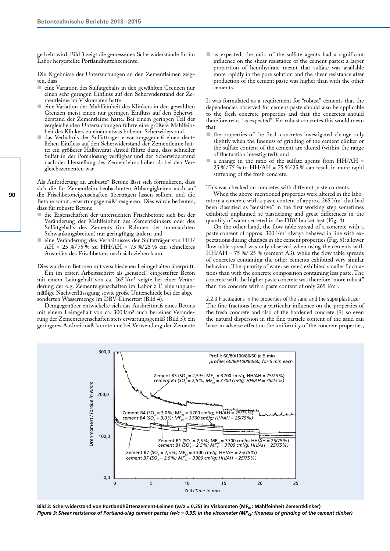gedreht wird. Bild 3 zeigt die gemessenen Scherwiderstände für im Labor hergestellte Portlandhüttenzemente.

Die Ergebnisse der Untersuchungen an den Zementleimen zeigten, dass

- eine Variation des Sulfatgehalts in den gewählten Grenzen nur einen sehr geringen Einfluss auf den Scherwiderstand der Zementleime im Viskomaten hatte
- n eine Variation der Mahlfeinheit des Klinkers in den gewählten Grenzen meist einen nur geringen Einfluss auf den Scherwiderstand der Zementleime hatte. Bei einem geringen Teil der vergleichenden Untersuchungen führte eine größere Mahlfeinheit des Klinkers zu einem etwas höheren Scherwiderstand.
- n das Verhältnis der Sulfatträger erwartungsgemäß einen deutlichen Einfluss auf den Scherwiderstand der Zementleime hatte: ein größerer Halbhydrat-Anteil führte dazu, dass schneller Sulfat in der Porenlösung verfügbar und der Scherwiderstand nach der Herstellung des Zementleims höher als bei den Vergleichszementen war.

Als Anforderung an "robuste" Betone lässt sich formulieren, dass sich die für Zementleim beobachteten Abhängigkeiten auch auf die Frischbetoneigenschaften übertragen lassen sollten, und die Betone somit "erwartungsgemäß" reagieren. Dies würde bedeuten, dass für robuste Betone

- n die Eigenschaften der untersuchten Frischbetone sich bei der Veränderung der Mahlfeinheit des Zementklinkers oder des Sulfatgehalts des Zements (im Rahmen der untersuchten Schwankungsbreiten) nur geringfügig ändern und
- n eine Veränderung des Verhältnisses der Sulfatträger von HH/ AH =  $25\% / 75\%$  zu HH/AH =  $75\% / 25\%$  ein schnelleres Ansteifen des Frischbetons nach sich ziehen kann.

Dies wurde an Betonen mit verschiedenen Leimgehalten überprüft.

Ein im ersten Arbeitsschritt als "sensibel" eingestufter Beton mit einem Leimgehalt von ca. 265 l/m<sup>3</sup> zeigte bei einer Veränderung der o.g. Zementeigenschaften im Labor z.T. eine unplanmäßige Nachverflüssigung sowie große Unterschiede bei der abgesonderten Wassermenge im DBV-Eimertest (Bild 4).

Demgegenüber entwickelte sich das Ausbreitmaß eines Betons mit einem Leimgehalt von ca. 300 l/m³ auch bei einer Veränderung der Zementeigenschaften stets erwartungsgemäß (Bild 5): ein geringeres Ausbreitmaß konnte nur bei Verwendung der Zemente

 $\blacksquare$  as expected, the ratio of the sulfate agents had a significant influence on the shear resistance of the cement pastes: a larger proportion of hemihydrate meant that sulfate was available more rapidly in the pore solution and the shear resistance after production of the cement paste was higher than with the other cements.

It was formulated as a requirement for "robust" cements that the dependencies observed for cement paste should also be applicable to the fresh concrete properties and that the concretes should therefore react "as expected". For robust concretes this would mean that

- $\blacksquare$  the properties of the fresh concretes investigated change only slightly when the fineness of grinding of the cement clinker or the sulfate content of the cement are altered (within the range of fluctuation investigated), and
- a change in the ratio of the sulfate agents from HH/AH = 25 %/75 % to HH/AH = 75 %/25 % can result in more rapid stiffening of the fresh concrete.

This was checked on concretes with different paste contents.

When the above-mentioned properties were altered in the laboratory a concrete with a paste content of approx.  $265 \text{ } \frac{1}{m^3}$  that had been classified as "sensitive" in the first working step sometimes exhibited unplanned re-plasticizing and great differences in the quantity of water secreted in the DBV bucket test (Fig. 4).

On the other hand, the flow table spread of a concrete with a paste content of approx. 300 l/m<sup>3</sup> always behaved in line with expectations during changes in the cement properties (Fig. 5): a lower flow table spread was only observed when using the cements with HH/AH = 75 %/ 25 % (cement A3), while the flow table spreads of concretes containing the other cements exhibited very similar behaviour. The quantity of water secreted exhibited smaller fluctuations than with the concrete composition containing less paste. The concrete with the higher paste concrete was therefore "more robust" than the concrete with a paste content of only  $265 \text{ } \frac{\text{m}}{\text{s}}$ .

2.2.3 Fluctuations in the properties of the sand and the superplasticizer The fine fractions have a particular influence on the properties of the fresh concrete and also of the hardened concrete [9] so even the natural dispersion in the fine particle content of the sand can have an adverse effect on the uniformity of the concrete properties,



Bild 3: Scherwiderstand von Portlandhüttenzement-Leimen (w/z = 0,35) im Viskomaten (MF<sub>KL</sub>: Mahlfeinheit Zementklinker) *Figure 3: Shear resistance of Portland-slag cement pastes (w/c = 0.35) in the viscometer (MF<sub>KI</sub>: fineness of grinding of the cement clinker)*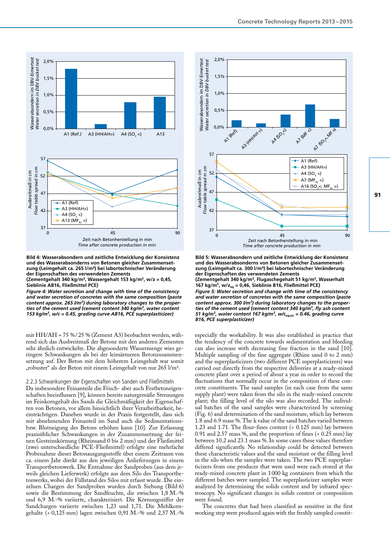

**Bild 4: Wasserabsondern und zeitliche Entwicklung der Konsistenz und des Wasserabsonderns von Betonen gleicher Zusammensetzung (Leimgehalt ca. 265 l/m³) bei labortechnischer Veränderung der Eigenschaften des verwendeten Zements (Zementgehalt 340 kg/m3, Wassergehalt 153 kg/m3, w/z = 0,45, Sieblinie AB16, Fließmittel PCE)**

*Figure 4: Water secretion and change with time of the consistency and water secretion of concretes with the same composition (paste content approx. 265 l/m3) during laboratory changes to the properties of the cement used (cement content 340 kg/m3, water content 153 kg/m3, w/c = 0.45, grading curve AB16, PCE superplasticizer)*

mit HH/AH = 75 %/ 25 % (Zement A3) beobachtet werden, während sich das Ausbreitmaß der Betone mit den anderen Zementen sehr ähnlich entwickelte. Die abgesonderte Wassermenge wies geringere Schwankungen als bei der leimärmeren Betonzusammensetzung auf. Der Beton mit dem höherem Leimgehalt war somit "robuster" als der Beton mit einem Leimgehalt von nur 265 l/m<sup>3</sup>.

2.2.3 Schwankungen der Eigenschaften von Sanden und Fließmitteln Da insbesondere Feinanteile die Frisch- aber auch Festbetoneigenschaften beeinflussen [9], können bereits naturgemäße Streuungen im Feinkorngehalt des Sands die Gleichmäßigkeit der Eigenschaften von Betonen, vor allem hinsichtlich ihrer Verarbeitbarkeit, beeinträchtigen. Daneben wurde in der Praxis festgestellt, dass sich mit abnehmenden Feinanteil im Sand auch die Sedimentationsbzw. Blutneigung des Betons erhöhen kann [10]. Zur Erfassung praxisüblicher Schwankungen in der Zusammensetzung der feinen Gesteinskörnung (Rheinsand 0 bis 2 mm) und der Fließmittel (zwei unterschiedliche PCE-Fließmittel) erfolgte eine mehrfache Probenahme dieser Betonausgangsstoffe über einem Zeitraum von ca. einem Jahr direkt aus den jeweiligen Anlieferungen in einem Transportbetonwerk. Die Entnahme der Sandproben (aus dem jeweils gleichen Lieferwerk) erfolgte aus dem Silo des Transportbetonwerks, wobei der Füllstand des Silos mit erfasst wurde. Die einzelnen Chargen der Sandproben wurden durch Siebung (Bild 6) sowie die Bestimmung der Sandfeuchte, die zwischen 1,8 M.-% und 6,9 M.-% variierte, charakterisiert. Die Körnungsziffer der Sandchargen variierte zwischen 1,23 und 1,71. Die Mehlkorngehalte ( $\epsilon$  0,125 mm) lagen zwischen 0,91 M.-% und 2,57 M.-%



**Bild 5: Wasserabsondern und zeitliche Entwicklung der Konsistenz und des Wasserabsonderns von Betonen gleicher Zusammensetzung (Leimgehalt ca. 300 l/m³) bei labortechnischer Veränderung der Eigenschaften des verwendeten Zements (Zementgehalt 340 kg/m3, Flugaschegehalt 51 kg/m3, Wasserhalt 167 kg/m3, w/zeq = 0,46, Sieblinie B16, Fließmittel PCE)** *Figure 5: Water secretion and change with time of the consistency and water secretion of concretes with the same composition (paste content approx. 300 l/m3) during laboratory changes to the properties of the cement used (cement content 340 kg/m3, fly ash content 51 kg/m3, water content 167 kg/m3, w/cequiv = 0.46, grading curve B16, PCE superplasticizer)*

especially the workability. It was also established in practice that the tendency of the concrete towards sedimentation and bleeding can also increase with decreasing fine fraction in the sand [10]. Multiple sampling of the fine aggregate (Rhine sand 0 to 2 mm) and the superplasticizers (two different PCE superplasticizers) was carried out directly from the respective deliveries at a ready-mixed concrete plant over a period of about a year in order to record the fluctuations that normally occur in the composition of these concrete constituents. The sand samples (in each case from the same supply plant) were taken from the silo in the ready-mixed concrete plant; the filling level of the silo was also recorded. The individual batches of the sand samples were characterized by screening (Fig. 6) and determination of the sand moisture, which lay between 1.8 and 6.9 mass %. The k value of the sand batches varied between 1.23 and 1.71. The flour-fines content (< 0.125 mm) lay between 0.91 and 2.57 mass %, and the proportion of fines (< 0.25 mm) lay between 10.2 and 23.1 mass %. In some cases these values therefore differed significantly. No relationship could be detected between these characteristic values and the sand moisture or the filling level in the silo when the samples were taken. The two PCE superplasticizers from one producer that were used were each stored at the ready-mixed concrete plant in 1000 kg containers from which the different batches were sampled. The superplasticizer samples were analyzed by determining the solids content and by infrared spectroscopy. No significant changes in solids content or composition were found.

The concretes that had been classified as sensitive in the first working step were produced again with the freshly sampled constit-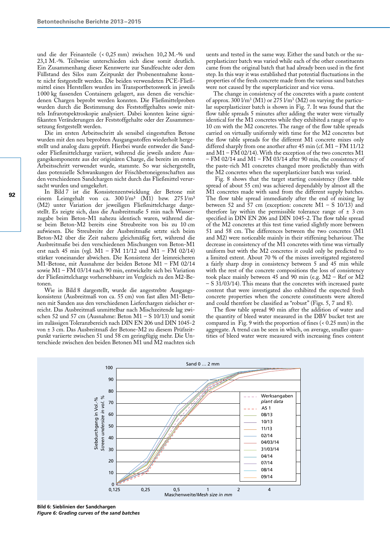und die der Feinanteile (< 0,25 mm) zwischen 10,2 M.-% und 23,1 M.-%. Teilweise unterschieden sich diese somit deutlich. Ein Zusammenhang dieser Kennwerte zur Sandfeuchte oder dem Füllstand des Silos zum Zeitpunkt der Probenentnahme konnte nicht festgestellt werden. Die beiden verwendeten PCE-Fließmittel eines Herstellers wurden im Transportbetonwerk in jeweils 1000 kg fassenden Containern gelagert, aus denen die verschiedenen Chargen beprobt werden konnten. Die Fließmittelproben wurden durch die Bestimmung des Feststoffgehaltes sowie mittels Infrarotspektroskopie analysiert. Dabei konnten keine signifikanten Veränderungen der Feststoffgehalte oder der Zusammensetzung festgestellt werden.

Die im ersten Arbeitsschritt als sensibel eingestuften Betone wurden mit den neu beprobten Ausgangsstoffen wiederholt hergestellt und analog dazu geprüft. Hierbei wurde entweder die Sandoder Fließmittelcharge variiert, während die jeweils andere Ausgangskomponente aus der originären Charge, die bereits im ersten Arbeitsschritt verwendet wurde, stammte. So war sichergestellt, dass potenzielle Schwankungen der Frischbetoneigenschaften aus den verschiedenen Sandchargen nicht durch das Fließmittel verursacht wurden und umgekehrt.

In Bild 7 ist die Konsistenzentwicklung der Betone mit einem Leimgehalt von ca. 300 l/m<sup>3</sup> (M1) bzw. 275 l/m<sup>3</sup> (M2) unter Variation der jeweiligen Fließmittelcharge dargestellt. Es zeigte sich, dass die Ausbreitmaße 5 min nach Wasserzugabe beim Beton-M1 nahezu identisch waren, während diese beim Beton-M2 bereits eine Streubreite von bis zu 10 cm aufwiesen. Die Streubreite der Ausbreitmaße setzte sich beim Beton-M2 über die Zeit nahezu gleichmäßig fort, während die Ausbreitmaße bei den verschiedenen Mischungen von Beton-M1 erst nach 45 min (vgl. M1 – FM 11/12 und M1 – FM 02/14) stärker voneinander abwichen. Die Konsistenz der leimreicheren M1-Betone, mit Ausnahme der beiden Betone M1 – FM 02/14 sowie M1 – FM 03/14 nach 90 min, entwickelte sich bei Variation der Fließmittelcharge vorhersehbarer im Vergleich zu den M2-Betonen.

Wie in Bild 8 dargestellt, wurde die angestrebte Ausgangskonsistenz (Ausbreitmaß von ca. 55 cm) von fast allen M1-Betonen mit Sanden aus den verschiedenen Lieferchargen zielsicher erreicht. Das Ausbreitmaß unmittelbar nach Mischzeitende lag zwischen 52 und 57 cm (Ausnahme: Beton M1 – S 10/13) und somit im zulässigen Toleranzbereich nach DIN EN 206 und DIN 1045-2 von ± 3 cm. Das Ausbreitmaß der Betone-M2 zu diesem Prüfzeitpunkt variierte zwischen 51 und 58 cm geringfügig mehr. Die Unterschiede zwischen den beiden Betonen M1 und M2 machten sich uents and tested in the same way. Either the sand batch or the superplasticizer batch was varied while each of the other constituents came from the original batch that had already been used in the first step. In this way it was established that potential fluctuations in the properties of the fresh concrete made from the various sand batches were not caused by the superplasticizer and vice versa.

The change in consistency of the concretes with a paste content of approx. 300  $1/m^3$  (M1) or 275  $1/m^3$  (M2) on varying the particular superplasticizer batch is shown in Fig. 7. It was found that the flow table spreads 5 minutes after adding the water were virtually identical for the M1 concretes while they exhibited a range of up to 10 cm with the M2 concretes. The range of the flow table spreads carried on virtually uniformly with time for the M2 concretes but the flow table spreads for the different M1 concrete mixes only differed sharply from one another after 45 min (cf. M1 – FM 11/12 and  $M1 - F\dot{M}$  02/14). With the exception of the two concretes  $M1$ – FM 02/14 and M1 – FM 03/14 after 90 min, the consistency of the paste-rich M1 concretes changed more predictably than with the M2 concretes when the superplasticizer batch was varied.

Fig. 8 shows that the target starting consistency (flow table spread of about 55 cm) was achieved dependably by almost all the M1 concretes made with sand from the different supply batches. The flow table spread immediately after the end of mixing lay between 52 and 57 cm (exception: concrete  $M1 - S 10/13$ ) and therefore lay within the permissible tolerance range of  $\pm$  3 cm specified in DIN EN 206 and DIN 1045-2. The flow table spread of the M2 concretes at this test time varied slightly more between 51 and 58 cm. The differences between the two concretes (M1 and M2) were noticeable mainly in their stiffening behaviour. The decrease in consistency of the M1 concretes with time was virtually uniform but with the M2 concretes it could only be predicted to a limited extent. About 70 % of the mixes investigated registered a fairly sharp drop in consistency between 5 and 45 min while with the rest of the concrete compositions the loss of consistency took place mainly between 45 and 90 min (e.g. M2 – Ref or M2 – S 31/03/14). This means that the concretes with increased paste content that were investigated also exhibited the expected fresh concrete properties when the concrete constituents were altered and could therefore be classified as "robust" (Figs. 5, 7 and 8).

The flow table spread 90 min after the addition of water and the quantity of bleed water measured in the DBV bucket test are compared in Fig. 9 with the proportion of fines (< 0.25 mm) in the aggregate. A trend can be seen in which, on average, smaller quantities of bleed water were measured with increasing fines content



**Bild 6: Sieblinien der Sandchargen** *Figure 6: Grading curves of the sand batches*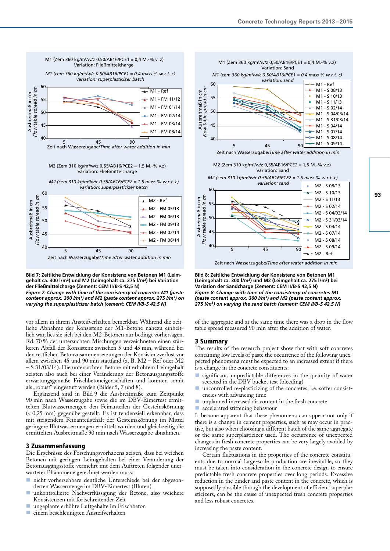

**Bild 7: Zeitliche Entwicklung der Konsistenz von Betonen M1 (Leimgehalt ca. 300 l/m³) und M2 (Leimgehalt ca. 275 l/m³) bei Variation der Fließmittelcharge (Zement: CEM II/B-S 42,5 N)**

*Figure 7: Change with time of the consistency of concretes M1 (paste content approx. 300 l/m3) and M2 (paste content approx. 275 l/m3) on varying the superplasticizer batch (cement: CEM II/B-S 42,5 N)*

vor allem in ihrem Ansteifverhalten bemerkbar. Während die zeitliche Abnahme der Konsistenz der M1-Betone nahezu einheitlich war, lies sie sich bei den M2-Betonen nur bedingt vorhersagen. Rd. 70 % der untersuchten Mischungen verzeichneten einen stärkeren Abfall der Konsistenz zwischen 5 und 45 min, während bei den restlichen Betonzusammensetzungen der Konsistenzverlust vor allem zwischen 45 und 90 min stattfand (z. B. M2 – Ref oder M2 – S 31/03/14). Die untersuchten Betone mit erhöhtem Leimgehalt zeigten also auch bei einer Veränderung der Betonausgangsstoffe erwartungsgemäße Frischbetoneigenschaften und konnten somit als "robust" eingestuft werden (Bilder 5, 7 und 8).

Ergänzend sind in Bild 9 die Ausbreitmaße zum Zeitpunkt 90 min nach Wasserzugabe sowie die im DBV-Eimertest ermittelten Blutwassermengen den Feinanteilen der Gesteinskörnung (< 0,25 mm) gegenübergestellt. Es ist tendenziell erkennbar, dass mit steigendem Feinanteilgehalt der Gesteinskörnung im Mittel geringere Blutwassermengen ermittelt wurden und gleichzeitig die ermittelten Ausbreitmaße 90 min nach Wasserzugabe abnahmen.

## 3 Zusammenfassung

Die Ergebnisse des Forschungsvorhabens zeigen, dass bei weichen Betonen mit geringen Leimgehalten bei einer Veränderung der Betonausgangsstoffe vermehrt mit dem Auftreten folgender unerwarteter Phänomene gerechnet werden muss:

- nicht vorhersehbare deutliche Unterschiede bei der abgesonderten Wassermenge im DBV-Eimertest (Bluten)
- n unkontrollierte Nachverflüssigung der Betone, also weichere Konsistenzen mit fortschreitender Zeit
- n ungeplante erhöhte Luftgehalte im Frischbeton
- n einem beschleunigten Ansteifverhalten



Zeit nach Wasserzugabe/*Time after water addition in min*

**Bild 8: Zeitliche Entwicklung der Konsistenz von Betonen M1 (Leimgehalt ca. 300 l/m³) und M2 (Leimgehalt ca. 275 l/m³) bei Variation der Sandcharge (Zement: CEM II/B-S 42,5 N)** *Figure 8: Change with time of the consistency of concretes M1 (paste content approx. 300 l/m3) and M2 (paste content approx. 275 l/m3) on varying the sand batch (cement: CEM II/B-S 42,5 N)*

of the aggregate and at the same time there was a drop in the flow table spread measured 90 min after the addition of water.

## 3 Summary

The results of the research project show that with soft concretes containing low levels of paste the occurrence of the following unexpected phenomena must be expected to an increased extent if there is a change in the concrete constituents:

- significant, unpredictable differences in the quantity of water secreted in the DBV bucket test (bleeding)
- uncontrolled re-plasticizing of the concretes, i.e. softer consistencies with advancing time
- $\blacksquare$  unplanned increased air content in the fresh concrete
- n accelerated stiffening behaviour

It became apparent that these phenomena can appear not only if there is a change in cement properties, such as may occur in practise, but also when choosing a different batch of the same aggregate or the same superplasticizer used. The occurrence of unexpected changes in fresh concrete properties can be very largely avoided by increasing the paste content.

Certain fluctuations in the properties of the concrete constituents due to normal large-scale production are inevitable, so they must be taken into consideration in the concrete design to ensure predictable fresh concrete properties over long periods. Excessive reduction in the binder and paste content in the concrete, which is supposedly possible through the development of efficient superplasticizers, can be the cause of unexpected fresh concrete properties and less robust concretes.